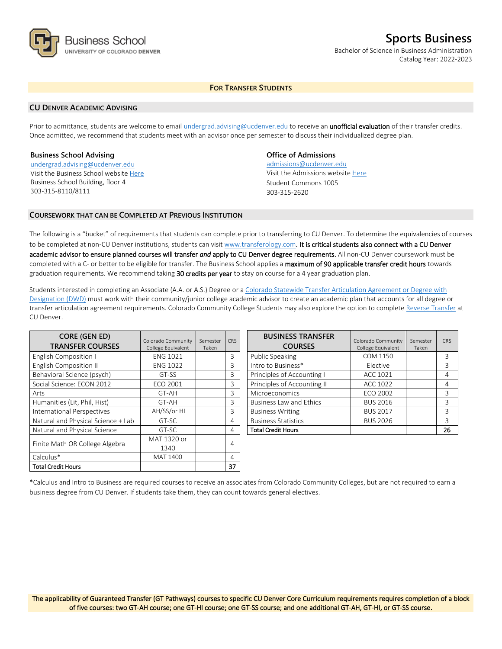

# **Sports Business**

Bachelor of Science in Business Administration Catalog Year: 2022-2023

# **FOR TRANSFER STUDENTS**

## **CU DENVER ACADEMIC ADVISING**

Prior to admittance, students are welcome to email [undergrad.advising@ucdenver.edu](mailto:undergrad.advising@ucdenver.edu) to receive an *unofficial evaluation* of their transfer credits. Once admitted, we recommend that students meet with an advisor once per semester to discuss their individualized degree plan.

## **Business School Advising**

[undergrad.advising@ucdenver.edu](mailto:undergrad.advising@ucdenver.edu) Visit the Business School websit[e Here](http://www.ucdenver.edu/academics/colleges/business/Pages/business-school.aspx)  Business School Building, floor 4 303-315-8110/8111

# **Office of Admissions**

admissions@ucdenver.edu Visit the Admissions website [Here](http://www.ucdenver.edu/admissions/) Student Commons 1005 303-315-2620

## **COURSEWORK THAT CAN BE COMPLETED AT PREVIOUS INSTITUTION**

The following is a "bucket" of requirements that students can complete prior to transferring to CU Denver. To determine the equivalencies of courses to be completed at non-CU Denver institutions, students can visit [www.transferology.com](http://www.transferology.com/)**.** It is critical students also connect with a CU Denver academic advisor to ensure planned courses will transfer *and* apply to CU Denver degree requirements. All non-CU Denver coursework must be completed with a C- or better to be eligible for transfer. The Business School applies a maximum of 90 applicable transfer credit hours towards graduation requirements. We recommend taking 30 credits per year to stay on course for a 4 year graduation plan.

Students interested in completing an Associate (A.A. or A.S.) Degree or a [Colorado Statewide Transfer Articulation Agreement or Degree with](https://highered.colorado.gov/Academics/Transfers/TransferDegrees.html)  [Designation \(DWD\)](https://highered.colorado.gov/Academics/Transfers/TransferDegrees.html) must work with their community/junior college academic advisor to create an academic plan that accounts for all degree or transfer articulation agreement requirements. Colorado Community College Students may also explore the option to complet[e Reverse Transfer](https://degreewithinreach.wordpress.com/) at CU Denver.

| <b>CORE (GEN ED)</b><br><b>TRANSFER COURSES</b> | Colorado Community<br>College Equivalent | Semester<br>Taken | <b>CRS</b> |
|-------------------------------------------------|------------------------------------------|-------------------|------------|
| <b>English Composition I</b>                    | <b>ENG 1021</b>                          |                   | 3          |
| <b>English Composition II</b>                   | <b>ENG 1022</b>                          |                   | 3          |
| Behavioral Science (psych)                      | GT-SS                                    |                   | 3          |
| Social Science: ECON 2012                       | <b>ECO 2001</b>                          |                   | 3          |
| Arts                                            | GT-AH                                    |                   | 3          |
| Humanities (Lit, Phil, Hist)                    | GT-AH                                    |                   | 3          |
| International Perspectives                      | AH/SS/or HI                              |                   | 3          |
| Natural and Physical Science + Lab              | GT-SC                                    |                   | 4          |
| Natural and Physical Science                    | GT-SC                                    |                   | 4          |
| Finite Math OR College Algebra                  | MAT 1320 or                              |                   |            |
|                                                 | 1340                                     |                   | 4          |
| Calculus*                                       | MAT 1400                                 |                   | 4          |
| Total Credit Hours                              |                                          |                   | 37         |

| <b>BUSINESS TRANSFER</b><br><b>COURSES</b> | Colorado Community<br>College Equivalent | Semester<br>Taken | CRS |
|--------------------------------------------|------------------------------------------|-------------------|-----|
| <b>Public Speaking</b>                     | COM 1150                                 |                   | 3   |
| Intro to Business*                         | Elective                                 |                   | 3   |
| Principles of Accounting I                 | ACC 1021                                 |                   | 4   |
| Principles of Accounting II                | ACC 1022                                 |                   | 4   |
| Microeconomics                             | ECO 2002                                 |                   | 3   |
| <b>Business Law and Ethics</b>             | <b>BUS 2016</b>                          |                   | 3   |
| <b>Business Writing</b>                    | <b>BUS 2017</b>                          |                   | ζ   |
| <b>Business Statistics</b>                 | <b>BUS 2026</b>                          |                   | 3   |
| <b>Total Credit Hours</b>                  |                                          |                   | 26  |

\*Calculus and Intro to Business are required courses to receive an associates from Colorado Community Colleges, but are not required to earn a business degree from CU Denver. If students take them, they can count towards general electives.